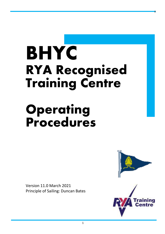# **BHYC RYA Recognised Training Centre**

## **Operating Procedures**

Version 11.0 March 2021 Principle of Sailing: Duncan Bates



x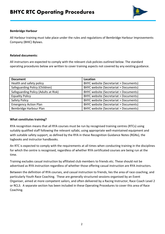

#### **Bembridge Harbour**

All Harbour training must take place under the rules and regulations of Bembridge Harbour Improvements Company (BHIC) Bylaws.

#### **Related documents:**

All instructors are expected to comply with the relevant club policies outlined below. The standard operating procedures below are written to cover training aspects not covered by any existing guidance.

| <b>Document</b>                      | Location                                         |
|--------------------------------------|--------------------------------------------------|
| Health and safety policy             | <b>BHYC website (Secretariat &gt; Documents)</b> |
| Safeguarding Policy (Children)       | <b>BHYC website (Secretariat &gt; Documents)</b> |
| Safeguarding Policy (Adults at Risk) | <b>BHYC website (Secretariat &gt; Documents)</b> |
| <b>Equality Policy</b>               | <b>BHYC website (Secretariat &gt; Documents)</b> |
| <b>Safety Policy</b>                 | <b>BHYC website (Secretariat &gt; Documents)</b> |
| <b>Emergency Action Plan</b>         | <b>BHYC website (Secretariat &gt; Documents)</b> |
| Bembridge Harbour Plan               | <b>BHYC website (Secretariat &gt; Documents)</b> |

#### **What constitutes training?**

RYA recognition means that all RYA courses must be run by recognised training centres (RTCs) using suitably qualified staff following the relevant syllabi, using appropriate well-maintained equipment and with suitable safety support, as defined by the RYA in these Recognition Guidance Notes (RGNs), the logbooks and instructor handbooks.

An RTC is expected to comply with the requirements at all times when conducting training in the disciplines for which the centre is recognised, regardless of whether RYA certificated courses are being run at the time.

Training excludes casual instruction by affiliated club members to friends etc. These should not be advertised as RYA instruction regardless of whether those offering casual instruction are RYA instructors.

Between the definition of RYA courses, and casual instruction to friends, lies the area of race coaching, and particularly Youth Race Coaching. These are generally structured sessions organised by an Event Organiser, aimed at more competent sailors, and often delivered by a Racing Instructor, Race Coach Level 2 or RCL3. A separate section has been included in these Operating Procedures to cover this area of Race Coaching.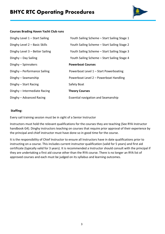

#### **Courses Brading Haven Yacht Club runs**

| Dinghy Level $1 -$ Start Sailing | Youth Sailing Scheme - Start Sailing Stage 1 |
|----------------------------------|----------------------------------------------|
| Dinghy Level 2 - Basic Skills    | Youth Sailing Scheme – Start Sailing Stage 2 |
| Dinghy Level 3 - Better Sailing  | Youth Sailing Scheme – Start Sailing Stage 3 |
| Dinghy - Day Sailing             | Youth Sailing Scheme – Start Sailing Stage 4 |
| Dinghy - Spinnakers              | <b>Powerboat Courses</b>                     |
| Dinghy - Performance Sailing     | Powerboat Level 1 - Start Powerboating       |
| Dinghy $-$ Seamanship            | Powerboat Level 2 – Powerboat Handling       |
| Dinghy - Start Racing            | Safety Boat                                  |
| Dinghy - Intermediate Racing     | <b>Theory Courses</b>                        |
| Dinghy - Advanced Racing         | Essential navigation and Seamanship          |

#### **Staffing:**

Every sail training session must be in sight of a Senior Instructor

Instructors must hold the relevant qualifications for the courses they are teaching (See RYA Instructor handbook G4). Dinghy instructors teaching on courses that require prior approval of their experience by the principal and chief instructor must have done so in good time for the course.

It is the responsibility of Chief Instructor to ensure all Instructors have in date qualifications prior to instructing on a course. This includes current instructor qualification (valid for 5 years) and first aid certificate (typically valid for 3 years). It is recommended a Instructor should consult with the principal if they are undertaking a first aid course other than the RYA course. There is no longer an RYA list of approved courses and each must be judged on its syllabus and learning outcomes.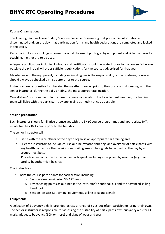

#### **Course Organisation:**

The Training team inclusive of duty SI are responsible for ensuring that pre-course information is disseminated and, on the day, that participation forms and health declarations are completed and locked in the office.

Participation forms should gain consent around the use of photography equipment and video cameras for coaching, if either are to be used.

Adequate publications including logbooks and certificates should be in stock prior to the course. Wherever possible the principal will order sufficient publications for the courses advertised for that year.

Maintenance of the equipment, including sailing dinghies is the responsibility of the Boatman, however should always be checked by Instructor prior to the course.

Instructors are responsible for checking the weather forecast prior to the course and discussing with the senior instructor, during the daily briefing, the most appropriate location.

Cancellation/ postponement: In the case of course cancellation due to inclement weather, the training team will liaise with the participants by app, giving as much notice as possible.

#### **Session preparation:**

Each instructor should familiarise themselves with the BHYC course programmes and appropriate RYA syllabi for their RYA course prior to the first day.

The senior instructor will:

- Liaise with the race officer of the day to organise an appropriate sail training area.
- Brief the instructors to include course outline, weather briefing, and overview of participants with any health concerns, other sessions and sailing areas. The signals to be used on the day by all groups must be set.
- Provide an introduction to the course participants including risks posed by weather (e.g. heat stroke/ hypothermia), hazards.

#### **The instructors:**

- Brief the course participants for each session including:
	- o Session aims considering SMART goals
	- o Key coaching points as outlined in the instructor's handbook G4 and the advanced sailing handbook
	- o Session logistics i.e., timing, equipment, sailing area and signals

#### **Equipment:**

A selection of buoyancy aids is provided across a range of sizes but often participants bring their own. The senior instructor is responsible for assessing the suitability of participants own buoyancy aids for CE mark, adequate buoyancy (50N or more) and signs of wear and tear.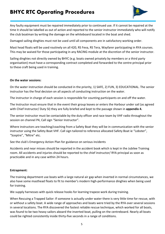

Any faulty equipment must be repaired immediately prior to continued use. If it cannot be repaired at the time it should be labelled as out of action and reported to the senior instructor immediately who will notify the club boatman by writing the damage on the whiteboard located in the boat and shed.

Damaged sailing dinghies must not be used until all components are in satisfactory working order.

Mast head floats will be used routinely on all 420, RS Feva, RS Tera, Wayfarer participating in RYA courses. This may be waived for those participating in any RACING module at the discretion of the senior instructor.

Sailing dinghies not directly owned by BHYC (e.g. boats owned privately by members or a third party organisation) must have a corresponding contract completed and forwarded to the centre principal prior to these craft being used in training.

#### **On the water sessions:**

On the water instruction should be conducted in the priority, 1) SAFE, 2) FUN, 3) EDUCATIONAL. The senior instructor has the final decision on all aspects of conducting instruction on the water.

The instructor in charge of each session is responsible for counting participants on and off the water.

The Instructor must ensure that in the event their group leaves or enters the Harbour under sail (as agreed with Chief Instructor/ Duty SI) they are fully briefed and kept to the passage shown in **appendix 4.** 

The senior instructor must be contactable by the duty officer and race team by VHF radio throughout the session on channel P4, Call sign "Senior Instructor".

Where instructors are teaching/coaching from a Safety Boat they will be in communication with the senior instructor using the Safety Boat VHF. Call sign tailored to reference allocated Safety Boat ie "Lobster", "Sceptre", "Mitre" etc.

See the club's Emergency Action Plan for guidance on serious incidents

Accidents and near misses should be reported in the accident book which is kept in the Jubilee Training room. All accidents and injuries should be reported to the chief instructor/ RYA principal as soon as practicable and in any case within 24 hours.

#### **Entrapment:**

The training department use boats with a large natural air gap when inverted in normal circumstances, we also have some masthead floats to fit to member's modern high-performance dinghies when being used for training.

We supply harnesses with quick release hooks for learning trapeze work during training.

When Rescuing a Trapped Sailor: If someone is actually under water there is very little time for rescue, with or without a safety boat. A wide range of approaches and boats were tried by the RYA over several sessions in several locations. The RYA discovered the fastest reliable rescue technique, which worked for all boats, was found to be two heavy sailors aboard the inverted boat, pulling on the centreboard. Nearly all boats could be righted consistently inside thirty-five seconds in a range of conditions.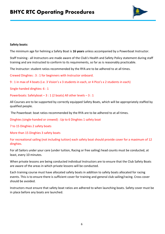

#### **Safety boats:**

The minimum age for helming a Safety Boat is **16 years** unless accompanied by a Powerboat Instructor.

Staff training - all Instructors are made aware of the Club's Health and Safety Policy statement during staff training and are instructed to conform to its requirements, so far as is reasonably practicable.

The Instructor: student ratios recommended by the RYA are to be adhered to at all times.

Crewed Dinghies : 3 : 1 for beginners with Instructor onboard.

9 : 1 in max of 4 boats (i.e. 3 Vision's x 3 students in each, or 4 Pico's x 2 students in each)

Single-handed dinghies: 6 : 1

Powerboats: Safetyboat – 3 : 1 (2 boats) All other levels – 3 : 1

All Courses are to be supported by correctly equipped Safety Boats, which will be appropriately staffed by qualified people.

The Powerboat: boat ratios recommended by the RYA are to be adhered to at all times.

Dinghies (single-handed or crewed) : Up to 6 Dinghies 1 safety boat

7 to 15 Dinghies 2 safety boats

More than 15 Dinghies 3 safety boats

For recreational sailing (not including tuition) each safety boat should provide cover for a maximum of 12 dinghies.

For all Sailors under your care (under tuition, Racing or free sailing) head counts must be conducted, at least, every 10 minutes.

When private lessons are being conducted individual Instructors are to ensure that the Club Safety Boats are aware of the areas in which private lessons will be conducted.

Each training course must have allocated safety boats in addition to safety boats allocated for racing events. This is to ensure there is sufficient cover for training and general club sailing/racing. Cross cover should be avoided.

Instructors must ensure that safety boat ratios are adhered to when launching boats. Safety cover must be in place before any boats are launched.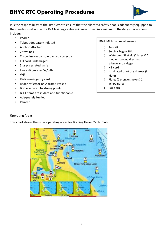

It is the responsibility of the Instructor to ensure that the allocated safety boat is adequately equipped to the standards set out in the RYA training centre guidance notes. As a minimum the daily checks should include:

- Paddle
- Tubes adequately inflated
- Anchor attached
- 2 towlines
- Throwline on console packed correctly
- Kill cord undamaged
- Sharp, serrated knife
- Fire extinguisher 5a/34b
- VHF
- Radio emergency card
- Radar reflector on A-frame vessels
- Bridle secured to strong points
- BDH items are in date and functionable
- Adequately fuelled
- **Painter**

#### BDH (Minimum requirement)

- § Tool kit
- § Survival bag or TPA
- § Waterproof first aid (2 large & 2 medium wound dressings, triangular bandages)
- § Kill cord
- § Laminated chart of sail areas (in date)
- § Flares (2 orange smoke & 2 pinpoint red)
- § Fog horn

#### **Operating Areas:**

This chart shows the usual operating areas for Brading Haven Yacht Club.

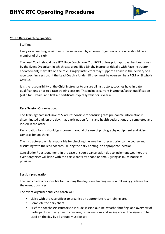

#### **Youth Race Coaching Specifics**

#### **Staffing:**

Every race coaching session must be supervised by an event organiser onsite who should be a member of the club.

The Lead Coach should be a RYA Race Coach Level 2 or RCL3 unless prior approval has been given by the Event Organiser, in which case a qualified Dinghy Instructor (ideally with Race Instructor endorsement) may take on the role. Dinghy Instructors may support a Coach in the delivery of a race coaching session. If the Lead Coach is Under 18 they must be overseen by a RCL2 or SI who is Over 18.

It is the responsibility of the Chief Instructor to ensure all instructors/coaches have in date qualifications prior to a race training session. This includes current instructor/coach qualification (valid for 5 years) and first aid certificate (typically valid for 3 years).

#### **Race Session Organisation:**

The Training team inclusive of SI are responsible for ensuring that pre-course information is disseminated and, on the day, that participation forms and health declarations are completed and locked in the office.

Participation forms should gain consent around the use of photography equipment and video cameras for coaching.

The Instructor/coach is responsible for checking the weather forecast prior to the course and discussing with the lead coach/SI, during the daily briefing, an appropriate location.

Cancellation/ postponement: In the case of course cancellation due to inclement weather, the event organiser will liaise with the participants by phone or email, giving as much notice as possible.

#### **Session preparation:**

The lead coach is responsible for planning the days race training session following guidance from the event organiser.

The event organiser and lead coach will:

- Liaise with the race officer to organise an appropriate race training area.
- Complete the daily sheet
- Brief the coaches/instructors to include session outline, weather briefing, and overview of participants with any health concerns, other sessions and sailing areas. The signals to be used on the day by all groups must be set.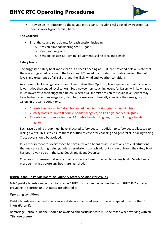

• Provide an introduction to the course participants including risks posed by weather (e.g. heat stroke/ hypothermia), hazards.

#### **The Coaches:**

- Brief the course participants for each session including:
	- o Session aims considering SMART goals
	- o Key coaching points
	- o Session logistics i.e., timing, equipment, sailing area and signals

#### **Safety boats:**

The suggested safety boat ratios for Youth Race Coaching at BHYC are provided below. Note that these are suggested ratios and the Lead Coach/SI need to consider the boats involved, the skill levels and experience of all sailors, and the likely wind and weather conditions.

As an example, Lasers generally need lower ratios than Optimist, less experienced sailors require lower ratios than squad level sailors. So, a newcomers coaching event for Lasers will likely have a much lower ratio than suggested below, whereas a Optimist session for squad level sailors may have higher ratio than suggested, despite the sessions potentially involving the same group of sailors in the same conditions.

- 1 safety boat for up to 4 double-handed dinghies, or 6 single-handed dinghies
- 2 safety boats for up to 8 double-handed dinghies, or 12 single-handed dinghies
- 3 safety boats or more for over 12 double handed dinghies, or over 18 single handed dinghies

Each race training group must have allocated safety boats in addition to safety boats allocated to racing events. This is to ensure there is sufficient cover for coaching and general club sailing/racing. Cross cover should be avoided.

It is a requirement for every coach to have a crew on board to assist with any difficult situations that may arise during training, unless permission to coach without a crew onboard the safety boat has been given by both the Lead Coach and Event Organiser.

Coaches must ensure that safety boat ratios are adhered to when launching boats. Safety boats must be in place before any boats are launched.

#### **British Stand Up Paddle Boarding Course & Activity Sessions for groups**

BHYC paddle boards can be used to provide BSUPA courses and in conjunction with BHYC RYA courses providing the correct BSUPA ratios are adhered to.

#### **Operating conditions**

Paddle boards may be used in a calm sea state in a sheltered area with a wind speed no more than 10 knots (Force 3).

Bembridge Harbour Channel should be avoided and particular care must be taken when working with an Offshore breeze.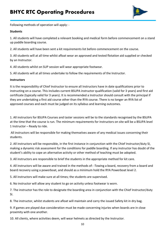

Following methods of operation will apply: -

#### **Students**

1. All students will have completed a relevant booking and medical form before commencement on a stand up paddle boarding course.

2. All students will have been sent a kit requirements list before commencement on the course.

3. All students will at all time whilst afloat wear an approved and tested flotation aid supplied or checked by an Instructor.

4. All students whilst on SUP session will wear appropriate footwear.

5. All students will at all times undertake to follow the requirements of the Instructor.

#### **Instructors**

It is the responsibility of Chief Instructor to ensure all Instructors have in date qualifications prior to instructing on a course. This includes current BSUPA instructor qualification (valid for 3 years) and first aid certificate (typically valid for 3 years). It is recommended a Instructor should consult with the principal if they are undertaking a first aid course other than the RYA course. There is no longer an RYA list of approved courses and each must be judged on its syllabus and learning outcomes.

1. All instructors for BSUPA Courses and taster sessions will be to the standards recognised by the BSUPA at the time that the course is run. The minimum requirements for instructors on site will be a BSUPA level 1 Instructor – Ready to ride.

 All instructors will be responsible for making themselves aware of any medical issues concerning their students.

2. All instructors will be responsible, in the first instance in conjunction with the Chief Instructor/duty SI, making a dynamic risk assessment for the conditions for paddle boarding. If any instructor has doubt of the student's ability to cope an alternative activity or other method of teaching must be adopted.

3. All instructors are responsible to brief the students in the appropriate method for kit care.

4. All instructors will be aware and trained in the methods of: -Towing a board, recovery from a board and board recovery using a powerboat, and should as a minimum hold the RYA Powerboat level 2.

5. All instructors will make sure at all times; the students are supervised.

6. No instructor will allow any student to go on activity unless footwear is worn.

7. The instructor has the role to designate the boarding area in conjunction with the Chief Instructor/duty SI.

8. The instructor, whilst students are afloat will maintain and carry the issued Safety kit in dry bag.

9. If games are played due consideration must be made concerning injuries when boards are in close proximity with one another.

10. All clients, where activities deem, will wear helmets as directed by the Instructor.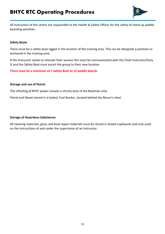

All Instructors of the centre are responsible to the Health & Safety Officer for the safety of stand up paddle boarding activities.

#### **Safety Boats**

There must be a safety boat rigged in the location of the training area. This can be alongside a pontoon or anchored in the training area.

If the Instructor needs to relocate their session this must be communicated with the Chief Instructor/Duty SI and the Safety Boat must escort the group to their new location.

#### **There must be a minimum of 1 Safety Boat to 12 paddle boards**

#### **Storage and use of Petrol:**

The refueling of BHYC power vessels is strictly duty of the Boatman only.

Petrol and Diesel stored in a locked, Fuel Bunker, located behind the Bosun's shed.

#### **Storage of Hazardous Substances**

All cleaning materials, glues and boat repair materials must be stored in locked cupboards and only used on the instructions of and under the supervision of an Instructor.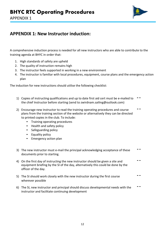

## **APPENDIX 1: New Instructor induction:**

A comprehensive induction process is needed for all new instructors who are able to contribute to the training agenda at BHYC in order that:

- 1. High standards of safety are upheld
- 2. The quality of instruction remains high
- 3. The instructor feels supported in working in a new environment
- 4. The instructor is familiar with local procedures, equipment, course plans and the emergency action plan

The induction for new instructions should utilise the following checklist:

- 1) Copies of instructing qualifications and up to date first aid cert must be e-mailed to ¨ the chief Instructor before starting (send to zwirdnam.sailing@outlook.com)
- the chief Instructor before starting (send to zwirdnam.sailing@outlook.com)<br>2) Encourage new instructor to read the training operating procedures and course<br>plans from the training section of the website or alternatively t to printed copies in the club. To include:
	- Training operating procedures
	- Health and safety policy
	- Safeguarding policy
	- Equality policy
	- Emergency action plan
- 3) The new instructor must e-mail the principal acknowledging acceptance of these documents prior to starting.
- documents prior to starting.<br>4) On the first day of instructing the new instructor should be given a site and <sup>\*\*</sup><br>equipment briefing by the SI of the day, alternatively this could be done by the officer of the day.
- 5) The SI should work closely with the new instructor during the first course wherever possible
- 6) The SI, new instructor and principal should discuss developmental needs with the <sup>-</sup> instructor and facilitate continuing development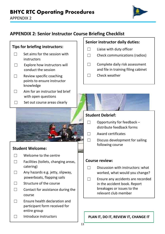

## **APPENDIX 2: Senior Instructor Course Briefing Checklist**

## **Tips for briefing instructors:**

- $\Box$  Set aims for the session with instructors
- $\Box$  Explore how instructors will conduct the session
- $\Box$  Review specific coaching points to ensure instructor knowledge
- $\Box$  Aim for an instructor led brief with open questions
- ☐ Set out course areas clearly



### **Student Welcome:**

- $\Box$  Welcome to the centre
- $\Box$  Facilities (toilets, changing areas, catering)
- ☐ Any hazards e.g. jetty, slipway, powerboats, flapping sails
- □ Structure of the course
- $\Box$  Contact for assistance during the course
- $\Box$  Ensure health declaration and participant form received for entire group
- $\Box$  Introduce instructors

#### **Senior instructor daily duties:**

- $\Box$  Liaise with duty officer
- $\Box$  Check communications (radios)
- □ Complete daily risk assessment and file in training filing cabinet
- ☐ Check weather

#### **Student Debrief:**

ֺ֖֚֝֬

- $\Box$  Opportunity for feedback distribute feedback forms
- ☐ Award certificates
- $\Box$  Discuss development for sailing following course

#### **Course review:**

- $\Box$  Discussion with instructors: what worked, what would you change?
- ☐ Ensure any accidents are recorded in the accident book. Report breakages or issues to the relevant club member

**PLAN IT, DO IT, REVIEW IT, CHANGE IT**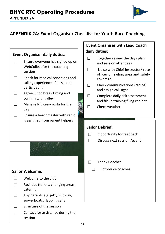

## **APPENDIX 2A: Event Organiser Checklist for Youth Race Coaching**

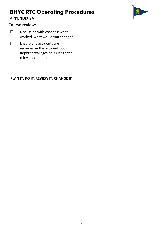APPENDIX 2A

#### **Course review:**

- □ Discussion with coaches: what worked, what would you change?
- □ Ensure any accidents are recorded in the accident book. Report breakages or issues to the relevant club member

#### **PLAN IT, DO IT, REVIEW IT, CHANGE IT**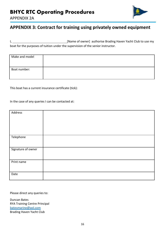



## **APPENDIX 3: Contract for training using privately owned equipment**

I, **Example 20 IV** [Name of owner] authorise Brading Haven Yacht Club to use my boat for the purposes of tuition under the supervision of the senior instructor.

| Make and model |  |
|----------------|--|
| Boat number:   |  |

This boat has a current insurance certificate (tick):

In the case of any queries I can be contacted at:

| Address            |  |
|--------------------|--|
|                    |  |
| Telephone          |  |
|                    |  |
| Signature of owner |  |
| Print name         |  |
| Date               |  |

Please direct any queries to:

Duncan Bates RYA Training Centre Principal batesmarine@aol.com Brading Haven Yacht Club